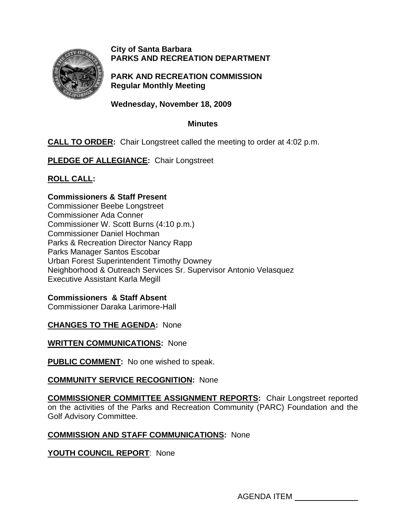

## **City of Santa Barbara PARKS AND RECREATION DEPARTMENT**

**PARK AND RECREATION COMMISSION Regular Monthly Meeting** 

**Wednesday, November 18, 2009** 

### **Minutes**

# **CALL TO ORDER:** Chair Longstreet called the meeting to order at 4:02 p.m.

**PLEDGE OF ALLEGIANCE:** Chair Longstreet

# **ROLL CALL:**

### **Commissioners & Staff Present**

Commissioner Beebe Longstreet Commissioner Ada Conner Commissioner W. Scott Burns (4:10 p.m.) Commissioner Daniel Hochman Parks & Recreation Director Nancy Rapp Parks Manager Santos Escobar Urban Forest Superintendent Timothy Downey Neighborhood & Outreach Services Sr. Supervisor Antonio Velasquez Executive Assistant Karla Megill

## **Commissioners & Staff Absent**

Commissioner Daraka Larimore-Hall

## **CHANGES TO THE AGENDA:** None

**WRITTEN COMMUNICATIONS:** None

**PUBLIC COMMENT:** No one wished to speak.

## **COMMUNITY SERVICE RECOGNITION: None**

**COMMISSIONER COMMITTEE ASSIGNMENT REPORTS:** Chair Longstreet reported on the activities of the Parks and Recreation Community (PARC) Foundation and the Golf Advisory Committee.

## **COMMISSION AND STAFF COMMUNICATIONS:** None

## **YOUTH COUNCIL REPORT**: None

AGENDA ITEM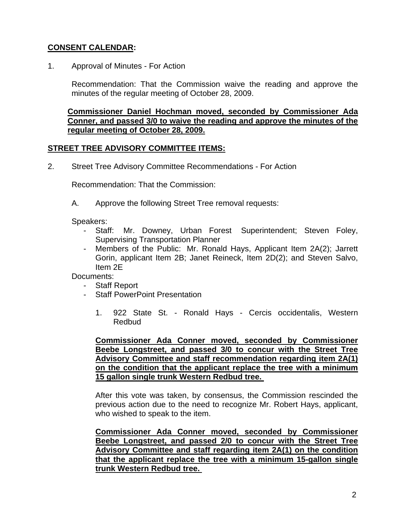# **CONSENT CALENDAR:**

1.Approval of Minutes - For Action

Recommendation: That the Commission waive the reading and approve the minutes of the regular meeting of October 28, 2009.

**Commissioner Daniel Hochman moved, seconded by Commissioner Ada Conner, and passed 3/0 to waive the reading and approve the minutes of the regular meeting of October 28, 2009.** 

#### **STREET TREE ADVISORY COMMITTEE ITEMS:**

2. Street Tree Advisory Committee Recommendations - For Action

Recommendation: That the Commission:

A. Approve the following Street Tree removal requests:

Speakers:

- Staff: Mr. Downey, Urban Forest Superintendent; Steven Foley, Supervising Transportation Planner
- Members of the Public: Mr. Ronald Hays, Applicant Item 2A(2); Jarrett Gorin, applicant Item 2B; Janet Reineck, Item 2D(2); and Steven Salvo, Item 2E

Documents:

- Staff Report
- Staff PowerPoint Presentation
	- 1. 922 State St. Ronald Hays Cercis occidentalis, Western Redbud

**Commissioner Ada Conner moved, seconded by Commissioner Beebe Longstreet, and passed 3/0 to concur with the Street Tree Advisory Committee and staff recommendation regarding item 2A(1) on the condition that the applicant replace the tree with a minimum 15 gallon single trunk Western Redbud tree.** 

After this vote was taken, by consensus, the Commission rescinded the previous action due to the need to recognize Mr. Robert Hays, applicant, who wished to speak to the item.

**Commissioner Ada Conner moved, seconded by Commissioner Beebe Longstreet, and passed 2/0 to concur with the Street Tree Advisory Committee and staff regarding item 2A(1) on the condition that the applicant replace the tree with a minimum 15-gallon single trunk Western Redbud tree.**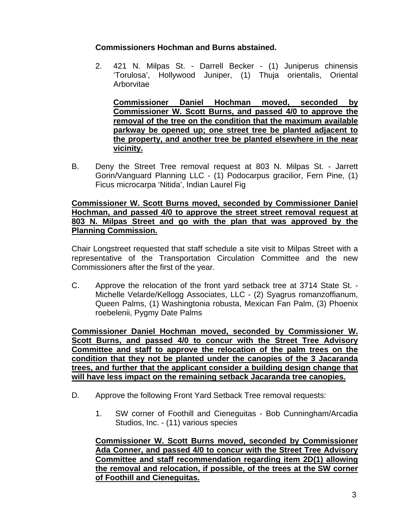## **Commissioners Hochman and Burns abstained.**

2. 421 N. Milpas St. - Darrell Becker - (1) Juniperus chinensis 'Torulosa', Hollywood Juniper, (1) Thuja orientalis, Oriental Arborvitae

**Commissioner Daniel Hochman moved, seconded by Commissioner W. Scott Burns, and passed 4/0 to approve the removal of the tree on the condition that the maximum available parkway be opened up; one street tree be planted adjacent to the property, and another tree be planted elsewhere in the near vicinity.** 

B.Deny the Street Tree removal request at 803 N. Milpas St. - Jarrett Gorin/Vanguard Planning LLC - (1) Podocarpus gracilior, Fern Pine, (1) Ficus microcarpa 'Nitida', Indian Laurel Fig

#### **Commissioner W. Scott Burns moved, seconded by Commissioner Daniel Hochman, and passed 4/0 to approve the street street removal request at 803 N. Milpas Street and go with the plan that was approved by the Planning Commission.**

Chair Longstreet requested that staff schedule a site visit to Milpas Street with a representative of the Transportation Circulation Committee and the new Commissioners after the first of the year.

C.Approve the relocation of the front yard setback tree at 3714 State St. - Michelle Velarde/Kellogg Associates, LLC - (2) Syagrus romanzoffianum, Queen Palms, (1) Washingtonia robusta, Mexican Fan Palm, (3) Phoenix roebelenii, Pygmy Date Palms

**Commissioner Daniel Hochman moved, seconded by Commissioner W. Scott Burns, and passed 4/0 to concur with the Street Tree Advisory Committee and staff to approve the relocation of the palm trees on the condition that they not be planted under the canopies of the 3 Jacaranda trees, and further that the applicant consider a building design change that will have less impact on the remaining setback Jacaranda tree canopies.** 

- D.Approve the following Front Yard Setback Tree removal requests:
	- 1.SW corner of Foothill and Cieneguitas Bob Cunningham/Arcadia Studios, Inc. - (11) various species

**Commissioner W. Scott Burns moved, seconded by Commissioner Ada Conner, and passed 4/0 to concur with the Street Tree Advisory Committee and staff recommendation regarding item 2D(1) allowing the removal and relocation, if possible, of the trees at the SW corner of Foothill and Cieneguitas.**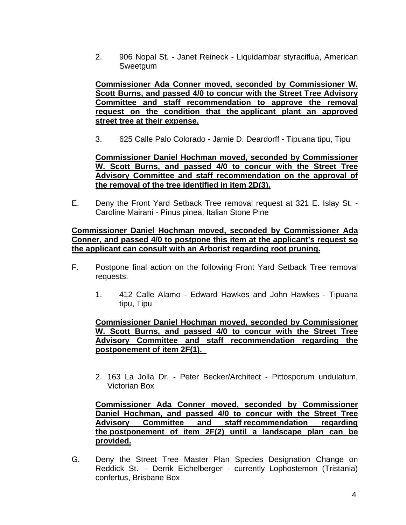2. 906 Nopal St. - Janet Reineck - Liquidambar styraciflua, American Sweetgum

**Commissioner Ada Conner moved, seconded by Commissioner W. Scott Burns, and passed 4/0 to concur with the Street Tree Advisory Committee and staff recommendation to approve the removal request on the condition that the applicant plant an approved street tree at their expense.** 

3.625 Calle Palo Colorado - Jamie D. Deardorff - Tipuana tipu, Tipu

**Commissioner Daniel Hochman moved, seconded by Commissioner W. Scott Burns, and passed 4/0 to concur with the Street Tree Advisory Committee and staff recommendation on the approval of the removal of the tree identified in item 2D(3).** 

E. Deny the Front Yard Setback Tree removal request at 321 E. Islay St. - Caroline Mairani - Pinus pinea, Italian Stone Pine

#### **Commissioner Daniel Hochman moved, seconded by Commissioner Ada Conner, and passed 4/0 to postpone this item at the applicant's request so the applicant can consult with an Arborist regarding root pruning.**

- F. Postpone final action on the following Front Yard Setback Tree removal requests:
	- 1. 412 Calle Alamo Edward Hawkes and John Hawkes Tipuana tipu, Tipu

### **Commissioner Daniel Hochman moved, seconded by Commissioner W. Scott Burns, and passed 4/0 to concur with the Street Tree Advisory Committee and staff recommendation regarding the postponement of item 2F(1).**

 2.163 La Jolla Dr. - Peter Becker/Architect - Pittosporum undulatum, Victorian Box

**Commissioner Ada Conner moved, seconded by Commissioner Daniel Hochman, and passed 4/0 to concur with the Street Tree Advisory Committee and staff recommendation regarding the postponement of item 2F(2) until a landscape plan can be provided.**

G. Deny the Street Tree Master Plan Species Designation Change on Reddick St. - Derrik Eichelberger - currently Lophostemon (Tristania) confertus, Brisbane Box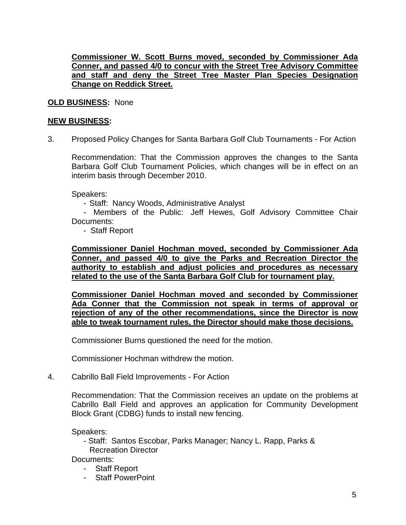### **Commissioner W. Scott Burns moved, seconded by Commissioner Ada Conner, and passed 4/0 to concur with the Street Tree Advisory Committee and staff and deny the Street Tree Master Plan Species Designation Change on Reddick Street.**

### **OLD BUSINESS:** None

#### **NEW BUSINESS:**

3. Proposed Policy Changes for Santa Barbara Golf Club Tournaments - For Action

Recommendation: That the Commission approves the changes to the Santa Barbara Golf Club Tournament Policies, which changes will be in effect on an interim basis through December 2010.

Speakers:

- Staff: Nancy Woods, Administrative Analyst

 - Members of the Public: Jeff Hewes, Golf Advisory Committee Chair Documents:

- Staff Report

**Commissioner Daniel Hochman moved, seconded by Commissioner Ada Conner, and passed 4/0 to give the Parks and Recreation Director the authority to establish and adjust policies and procedures as necessary related to the use of the Santa Barbara Golf Club for tournament play.** 

**Commissioner Daniel Hochman moved and seconded by Commissioner Ada Conner that the Commission not speak in terms of approval or rejection of any of the other recommendations, since the Director is now able to tweak tournament rules, the Director should make those decisions.**

Commissioner Burns questioned the need for the motion.

Commissioner Hochman withdrew the motion.

4.Cabrillo Ball Field Improvements - For Action

Recommendation: That the Commission receives an update on the problems at Cabrillo Ball Field and approves an application for Community Development Block Grant (CDBG) funds to install new fencing.

Speakers:

 - Staff: Santos Escobar, Parks Manager; Nancy L. Rapp, Parks & Recreation Director

Documents:

- Staff Report
- Staff PowerPoint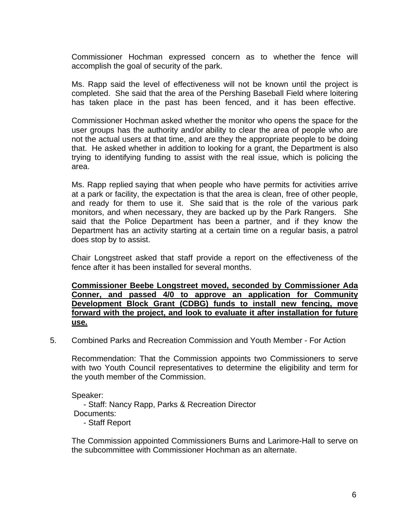Commissioner Hochman expressed concern as to whether the fence will accomplish the goal of security of the park.

Ms. Rapp said the level of effectiveness will not be known until the project is completed. She said that the area of the Pershing Baseball Field where loitering has taken place in the past has been fenced, and it has been effective.

Commissioner Hochman asked whether the monitor who opens the space for the user groups has the authority and/or ability to clear the area of people who are not the actual users at that time, and are they the appropriate people to be doing that. He asked whether in addition to looking for a grant, the Department is also trying to identifying funding to assist with the real issue, which is policing the area.

Ms. Rapp replied saying that when people who have permits for activities arrive at a park or facility, the expectation is that the area is clean, free of other people, and ready for them to use it. She said that is the role of the various park monitors, and when necessary, they are backed up by the Park Rangers. She said that the Police Department has been a partner, and if they know the Department has an activity starting at a certain time on a regular basis, a patrol does stop by to assist.

Chair Longstreet asked that staff provide a report on the effectiveness of the fence after it has been installed for several months.

**Commissioner Beebe Longstreet moved, seconded by Commissioner Ada Conner, and passed 4/0 to approve an application for Community Development Block Grant (CDBG) funds to install new fencing, move forward with the project, and look to evaluate it after installation for future use.** 

5. Combined Parks and Recreation Commission and Youth Member - For Action

Recommendation: That the Commission appoints two Commissioners to serve with two Youth Council representatives to determine the eligibility and term for the youth member of the Commission.

Speaker:

 - Staff: Nancy Rapp, Parks & Recreation Director Documents:

- Staff Report

The Commission appointed Commissioners Burns and Larimore-Hall to serve on the subcommittee with Commissioner Hochman as an alternate.